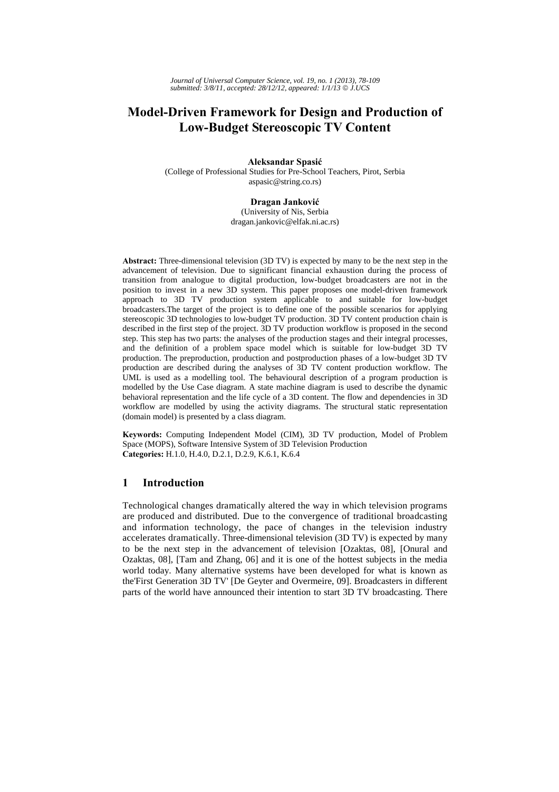# **Model-Driven Framework for Design and Production of Low-Budget Stereoscopic TV Content**

**Aleksandar Spasić**

(College of Professional Studies for Pre-School Teachers, Pirot, Serbia aspasic@string.co.rs)

#### **Dragan Janković**

(University of Nis, Serbia dragan.jankovic@elfak.ni.ac.rs)

**Abstract:** Three-dimensional television (3D TV) is expected by many to be the next step in the advancement of television. Due to significant financial exhaustion during the process of transition from analogue to digital production, low-budget broadcasters are not in the position to invest in a new 3D system. This paper proposes one model-driven framework approach to 3D TV production system applicable to and suitable for low-budget broadcasters.The target of the project is to define one of the possible scenarios for applying stereoscopic 3D technologies to low-budget TV production. 3D TV content production chain is described in the first step of the project. 3D TV production workflow is proposed in the second step. This step has two parts: the analyses of the production stages and their integral processes, and the definition of a problem space model which is suitable for low-budget 3D TV production. The preproduction, production and postproduction phases of a low-budget 3D TV production are described during the analyses of 3D TV content production workflow. The UML is used as a modelling tool. The behavioural description of a program production is modelled by the Use Case diagram. A state machine diagram is used to describe the dynamic behavioral representation and the life cycle of a 3D content. The flow and dependencies in 3D workflow are modelled by using the activity diagrams. The structural static representation (domain model) is presented by a class diagram.

**Keywords:** Computing Independent Model (CIM), 3D TV production, Model of Problem Space (MOPS), Software Intensive System of 3D Television Production **Categories:** H.1.0, H.4.0, D.2.1, D.2.9, K.6.1, K.6.4

# **1 Introduction**

Technological changes dramatically altered the way in which television programs are produced and distributed. Due to the convergence of traditional broadcasting and information technology, the pace of changes in the television industry accelerates dramatically. Three-dimensional television (3D TV) is expected by many to be the next step in the advancement of television [Ozaktas, 08], [Onural and Ozaktas, 08], [Tam and Zhang, 06] and it is one of the hottest subjects in the media world today. Many alternative systems have been developed for what is known as the'First Generation 3D TV' [De Geyter and Overmeire, 09]. Broadcasters in different parts of the world have announced their intention to start 3D TV broadcasting. There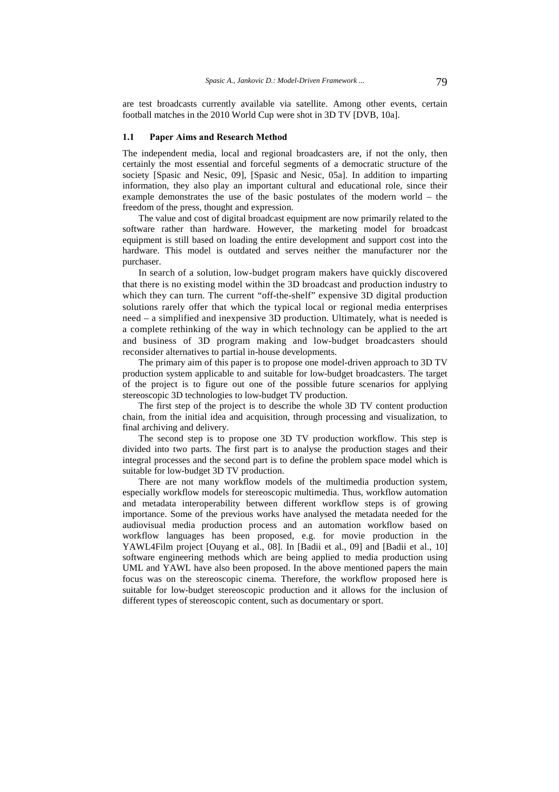are test broadcasts currently available via satellite. Among other events, certain football matches in the 2010 World Cup were shot in 3D TV [DVB, 10a].

#### **1.1 Paper Aims and Research Method**

The independent media, local and regional broadcasters are, if not the only, then certainly the most essential and forceful segments of a democratic structure of the society [Spasic and Nesic, 09], [Spasic and Nesic, 05a]. In addition to imparting information, they also play an important cultural and educational role, since their example demonstrates the use of the basic postulates of the modern world – the freedom of the press, thought and expression.

The value and cost of digital broadcast equipment are now primarily related to the software rather than hardware. However, the marketing model for broadcast equipment is still based on loading the entire development and support cost into the hardware. This model is outdated and serves neither the manufacturer nor the purchaser.

In search of a solution, low-budget program makers have quickly discovered that there is no existing model within the 3D broadcast and production industry to which they can turn. The current "off-the-shelf" expensive 3D digital production solutions rarely offer that which the typical local or regional media enterprises need – a simplified and inexpensive 3D production. Ultimately, what is needed is a complete rethinking of the way in which technology can be applied to the art and business of 3D program making and low-budget broadcasters should reconsider alternatives to partial in-house developments.

The primary aim of this paper is to propose one model-driven approach to 3D TV production system applicable to and suitable for low-budget broadcasters. The target of the project is to figure out one of the possible future scenarios for applying stereoscopic 3D technologies to low-budget TV production.

The first step of the project is to describe the whole 3D TV content production chain, from the initial idea and acquisition, through processing and visualization, to final archiving and delivery.

The second step is to propose one 3D TV production workflow. This step is divided into two parts. The first part is to analyse the production stages and their integral processes and the second part is to define the problem space model which is suitable for low-budget 3D TV production.

There are not many workflow models of the multimedia production system, especially workflow models for stereoscopic multimedia. Thus, workflow automation and metadata interoperability between different workflow steps is of growing importance. Some of the previous works have analysed the metadata needed for the audiovisual media production process and an automation workflow based on workflow languages has been proposed, e.g. for movie production in the YAWL4Film project [Ouyang et al., 08]. In [Badii et al., 09] and [Badii et al., 10] software engineering methods which are being applied to media production using UML and YAWL have also been proposed. In the above mentioned papers the main focus was on the stereoscopic cinema. Therefore, the workflow proposed here is suitable for low-budget stereoscopic production and it allows for the inclusion of different types of stereoscopic content, such as documentary or sport.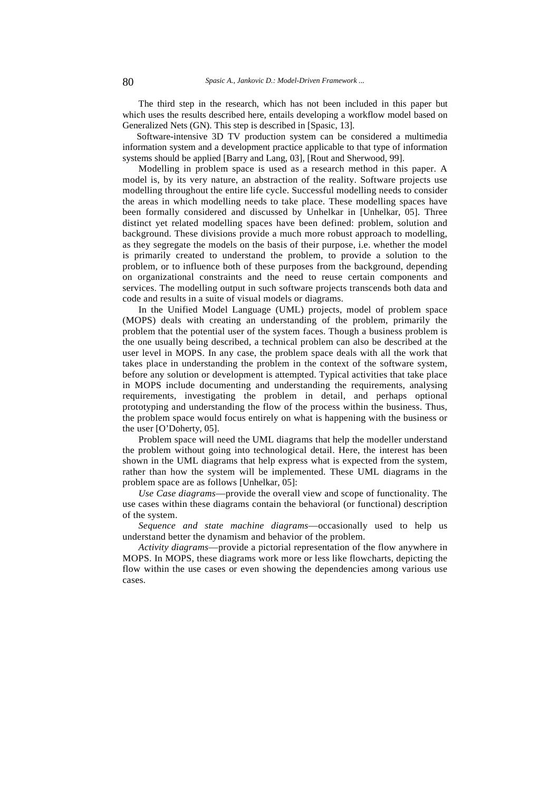The third step in the research, which has not been included in this paper but which uses the results described here, entails developing a workflow model based on Generalized Nets (GN). This step is described in [Spasic, 13].

 Software-intensive 3D TV production system can be considered a multimedia information system and a development practice applicable to that type of information systems should be applied [Barry and Lang, 03], [Rout and Sherwood, 99].

Modelling in problem space is used as a research method in this paper. A model is, by its very nature, an abstraction of the reality. Software projects use modelling throughout the entire life cycle. Successful modelling needs to consider the areas in which modelling needs to take place. These modelling spaces have been formally considered and discussed by Unhelkar in [Unhelkar, 05]. Three distinct yet related modelling spaces have been defined: problem, solution and background. These divisions provide a much more robust approach to modelling, as they segregate the models on the basis of their purpose, i.e. whether the model is primarily created to understand the problem, to provide a solution to the problem, or to influence both of these purposes from the background, depending on organizational constraints and the need to reuse certain components and services. The modelling output in such software projects transcends both data and code and results in a suite of visual models or diagrams.

In the Unified Model Language (UML) projects, model of problem space (MOPS) deals with creating an understanding of the problem, primarily the problem that the potential user of the system faces. Though a business problem is the one usually being described, a technical problem can also be described at the user level in MOPS. In any case, the problem space deals with all the work that takes place in understanding the problem in the context of the software system, before any solution or development is attempted. Typical activities that take place in MOPS include documenting and understanding the requirements, analysing requirements, investigating the problem in detail, and perhaps optional prototyping and understanding the flow of the process within the business. Thus, the problem space would focus entirely on what is happening with the business or the user [O'Doherty, 05].

Problem space will need the UML diagrams that help the modeller understand the problem without going into technological detail. Here, the interest has been shown in the UML diagrams that help express what is expected from the system, rather than how the system will be implemented. These UML diagrams in the problem space are as follows [Unhelkar, 05]:

*Use Case diagrams*—provide the overall view and scope of functionality. The use cases within these diagrams contain the behavioral (or functional) description of the system.

*Sequence and state machine diagrams*—occasionally used to help us understand better the dynamism and behavior of the problem.

*Activity diagrams*—provide a pictorial representation of the flow anywhere in MOPS. In MOPS, these diagrams work more or less like flowcharts, depicting the flow within the use cases or even showing the dependencies among various use cases.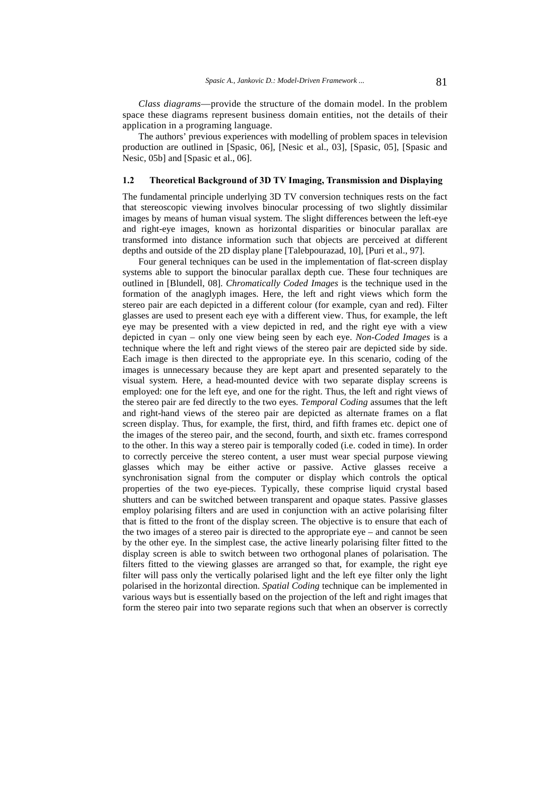*Class diagrams*—provide the structure of the domain model. In the problem space these diagrams represent business domain entities, not the details of their application in a programing language.

The authors' previous experiences with modelling of problem spaces in television production are outlined in [Spasic, 06], [Nesic et al., 03], [Spasic, 05], [Spasic and Nesic, 05b] and [Spasic et al., 06].

### **1.2 Theoretical Background of 3D TV Imaging, Transmission and Displaying**

The fundamental principle underlying 3D TV conversion techniques rests on the fact that stereoscopic viewing involves binocular processing of two slightly dissimilar images by means of human visual system. The slight differences between the left-eye and right-eye images, known as horizontal disparities or binocular parallax are transformed into distance information such that objects are perceived at different depths and outside of the 2D display plane [Talebpourazad, 10], [Puri et al., 97].

Four general techniques can be used in the implementation of flat-screen display systems able to support the binocular parallax depth cue. These four techniques are outlined in [Blundell, 08]. *Chromatically Coded Images* is the technique used in the formation of the anaglyph images. Here, the left and right views which form the stereo pair are each depicted in a different colour (for example, cyan and red). Filter glasses are used to present each eye with a different view. Thus, for example, the left eye may be presented with a view depicted in red, and the right eye with a view depicted in cyan – only one view being seen by each eye. *Non-Coded Images* is a technique where the left and right views of the stereo pair are depicted side by side. Each image is then directed to the appropriate eye. In this scenario, coding of the images is unnecessary because they are kept apart and presented separately to the visual system. Here, a head-mounted device with two separate display screens is employed: one for the left eye, and one for the right. Thus, the left and right views of the stereo pair are fed directly to the two eyes. *Temporal Coding* assumes that the left and right-hand views of the stereo pair are depicted as alternate frames on a flat screen display. Thus, for example, the first, third, and fifth frames etc. depict one of the images of the stereo pair, and the second, fourth, and sixth etc. frames correspond to the other. In this way a stereo pair is temporally coded (i.e. coded in time). In order to correctly perceive the stereo content, a user must wear special purpose viewing glasses which may be either active or passive. Active glasses receive a synchronisation signal from the computer or display which controls the optical properties of the two eye-pieces. Typically, these comprise liquid crystal based shutters and can be switched between transparent and opaque states. Passive glasses employ polarising filters and are used in conjunction with an active polarising filter that is fitted to the front of the display screen. The objective is to ensure that each of the two images of a stereo pair is directed to the appropriate eye – and cannot be seen by the other eye. In the simplest case, the active linearly polarising filter fitted to the display screen is able to switch between two orthogonal planes of polarisation. The filters fitted to the viewing glasses are arranged so that, for example, the right eye filter will pass only the vertically polarised light and the left eye filter only the light polarised in the horizontal direction. *Spatial Coding* technique can be implemented in various ways but is essentially based on the projection of the left and right images that form the stereo pair into two separate regions such that when an observer is correctly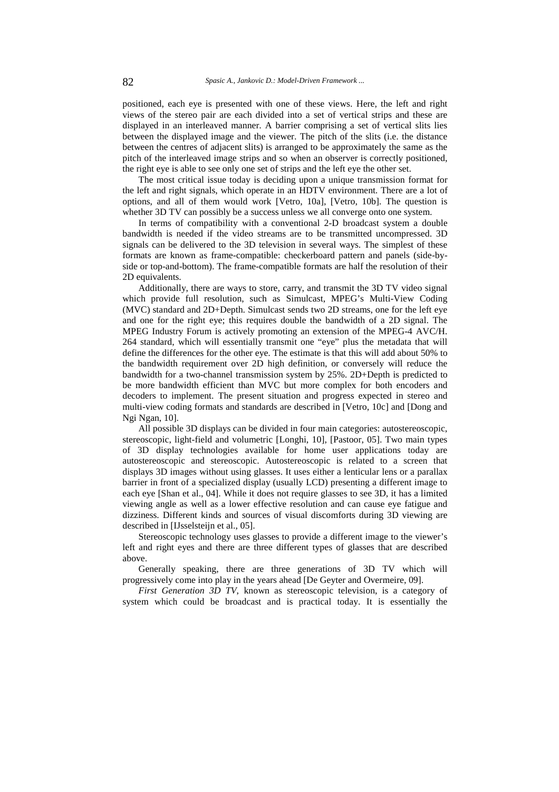positioned, each eye is presented with one of these views. Here, the left and right views of the stereo pair are each divided into a set of vertical strips and these are displayed in an interleaved manner. A barrier comprising a set of vertical slits lies between the displayed image and the viewer. The pitch of the slits (i.e. the distance between the centres of adjacent slits) is arranged to be approximately the same as the pitch of the interleaved image strips and so when an observer is correctly positioned, the right eye is able to see only one set of strips and the left eye the other set.

The most critical issue today is deciding upon a unique transmission format for the left and right signals, which operate in an HDTV environment. There are a lot of options, and all of them would work [Vetro, 10a], [Vetro, 10b]. The question is whether 3D TV can possibly be a success unless we all converge onto one system.

In terms of compatibility with a conventional 2-D broadcast system a double bandwidth is needed if the video streams are to be transmitted uncompressed. 3D signals can be delivered to the 3D television in several ways. The simplest of these formats are known as frame-compatible: checkerboard pattern and panels (side-byside or top-and-bottom). The frame-compatible formats are half the resolution of their 2D equivalents.

Additionally, there are ways to store, carry, and transmit the 3D TV video signal which provide full resolution, such as Simulcast, MPEG's Multi-View Coding (MVC) standard and 2D+Depth. Simulcast sends two 2D streams, one for the left eye and one for the right eye; this requires double the bandwidth of a 2D signal. The MPEG Industry Forum is actively promoting an extension of the MPEG-4 AVC/H. 264 standard, which will essentially transmit one "eye" plus the metadata that will define the differences for the other eye. The estimate is that this will add about 50% to the bandwidth requirement over 2D high definition, or conversely will reduce the bandwidth for a two-channel transmission system by 25%. 2D+Depth is predicted to be more bandwidth efficient than MVC but more complex for both encoders and decoders to implement. The present situation and progress expected in stereo and multi-view coding formats and standards are described in [Vetro, 10c] and [Dong and Ngi Ngan, 10].

All possible 3D displays can be divided in four main categories: autostereoscopic, stereoscopic, light-field and volumetric [Longhi, 10], [Pastoor, 05]. Two main types of 3D display technologies available for home user applications today are autostereoscopic and stereoscopic. Autostereoscopic is related to a screen that displays 3D images without using glasses. It uses either a lenticular lens or a parallax barrier in front of a specialized display (usually LCD) presenting a different image to each eye [Shan et al., 04]. While it does not require glasses to see 3D, it has a limited viewing angle as well as a lower effective resolution and can cause eye fatigue and dizziness. Different kinds and sources of visual discomforts during 3D viewing are described in [IJsselsteijn et al., 05].

Stereoscopic technology uses glasses to provide a different image to the viewer's left and right eyes and there are three different types of glasses that are described above.

Generally speaking, there are three generations of 3D TV which will progressively come into play in the years ahead [De Geyter and Overmeire, 09].

*First Generation 3D TV*, known as stereoscopic television, is a category of system which could be broadcast and is practical today. It is essentially the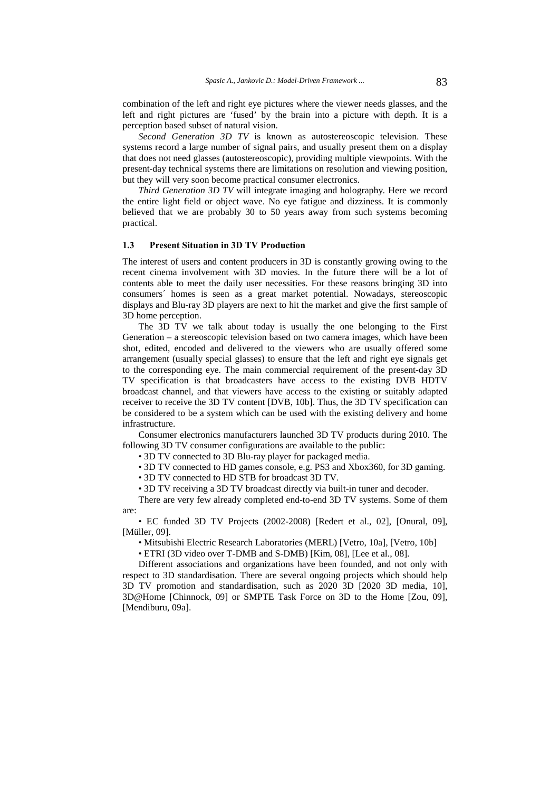combination of the left and right eye pictures where the viewer needs glasses, and the left and right pictures are 'fused' by the brain into a picture with depth. It is a perception based subset of natural vision.

*Second Generation 3D TV* is known as autostereoscopic television. These systems record a large number of signal pairs, and usually present them on a display that does not need glasses (autostereoscopic), providing multiple viewpoints. With the present-day technical systems there are limitations on resolution and viewing position, but they will very soon become practical consumer electronics.

*Third Generation 3D TV* will integrate imaging and holography*.* Here we record the entire light field or object wave. No eye fatigue and dizziness. It is commonly believed that we are probably 30 to 50 years away from such systems becoming practical.

#### **1.3 Present Situation in 3D TV Production**

The interest of users and content producers in 3D is constantly growing owing to the recent cinema involvement with 3D movies. In the future there will be a lot of contents able to meet the daily user necessities. For these reasons bringing 3D into consumers´ homes is seen as a great market potential. Nowadays, stereoscopic displays and Blu-ray 3D players are next to hit the market and give the first sample of 3D home perception.

The 3D TV we talk about today is usually the one belonging to the First Generation – a stereoscopic television based on two camera images, which have been shot, edited, encoded and delivered to the viewers who are usually offered some arrangement (usually special glasses) to ensure that the left and right eye signals get to the corresponding eye. The main commercial requirement of the present-day 3D TV specification is that broadcasters have access to the existing DVB HDTV broadcast channel, and that viewers have access to the existing or suitably adapted receiver to receive the 3D TV content [DVB, 10b]. Thus, the 3D TV specification can be considered to be a system which can be used with the existing delivery and home infrastructure.

Consumer electronics manufacturers launched 3D TV products during 2010. The following 3D TV consumer configurations are available to the public:

• 3D TV connected to 3D Blu-ray player for packaged media.

• 3D TV connected to HD games console, e.g. PS3 and Xbox360, for 3D gaming.

• 3D TV connected to HD STB for broadcast 3D TV.

• 3D TV receiving a 3D TV broadcast directly via built-in tuner and decoder.

There are very few already completed end-to-end 3D TV systems. Some of them are:

• EC funded 3D TV Projects (2002-2008) [Redert et al., 02], [Onural, 09], [Müller, 09].

• Mitsubishi Electric Research Laboratories (MERL) [Vetro, 10a], [Vetro, 10b]

• ETRI (3D video over T-DMB and S-DMB) [Kim, 08], [Lee et al., 08].

Different associations and organizations have been founded, and not only with respect to 3D standardisation. There are several ongoing projects which should help 3D TV promotion and standardisation, such as 2020 3D [2020 3D media, 10], 3D@Home [Chinnock, 09] or SMPTE Task Force on 3D to the Home [Zou, 09], [Mendiburu, 09a].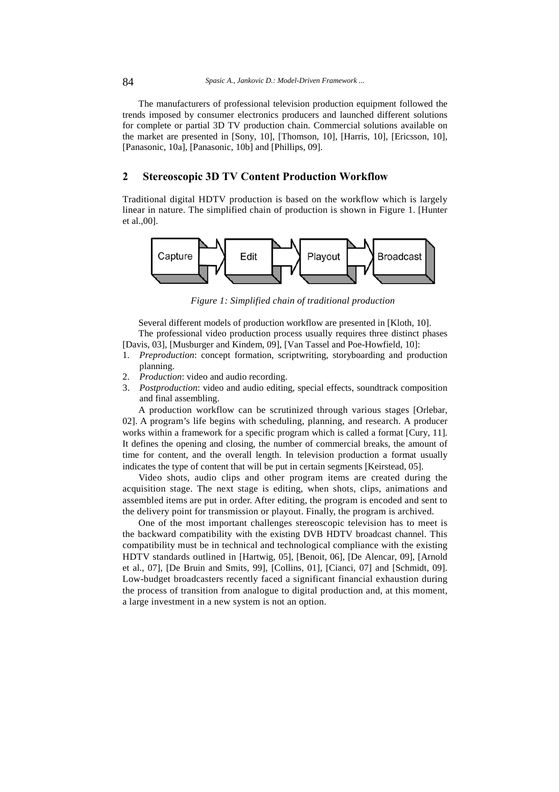The manufacturers of professional television production equipment followed the trends imposed by consumer electronics producers and launched different solutions for complete or partial 3D TV production chain. Commercial solutions available on the market are presented in [Sony, 10], [Thomson, 10], [Harris, 10], [Ericsson, 10], [Panasonic, 10a], [Panasonic, 10b] and [Phillips, 09].

# **2 Stereoscopic 3D TV Content Production Workflow**

Traditional digital HDTV production is based on the workflow which is largely linear in nature. The simplified chain of production is shown in Figure 1. [Hunter et al.,00].



*Figure 1: Simplified chain of traditional production* 

Several different models of production workflow are presented in [Kloth, 10]. The professional video production process usually requires three distinct phases

[Davis, 03], [Musburger and Kindem, 09], [Van Tassel and Poe-Howfield, 10]:

- 1. *Preproduction*: concept formation, scriptwriting, storyboarding and production planning.
- 2. *Production*: video and audio recording.
- 3. *Postproduction*: video and audio editing, special effects, soundtrack composition and final assembling.

A production workflow can be scrutinized through various stages [Orlebar, 02]. A program's life begins with scheduling, planning, and research. A producer works within a framework for a specific program which is called a format [Cury, 11]*.*  It defines the opening and closing, the number of commercial breaks, the amount of time for content, and the overall length. In television production a format usually indicates the type of content that will be put in certain segments [Keirstead, 05].

Video shots, audio clips and other program items are created during the acquisition stage. The next stage is editing, when shots, clips, animations and assembled items are put in order. After editing, the program is encoded and sent to the delivery point for transmission or playout. Finally, the program is archived.

One of the most important challenges stereoscopic television has to meet is the backward compatibility with the existing DVB HDTV broadcast channel. This compatibility must be in technical and technological compliance with the existing HDTV standards outlined in [Hartwig, 05], [Benoit, 06], [De Alencar, 09], [Arnold et al., 07], [De Bruin and Smits, 99], [Collins, 01], [Cianci, 07] and [Schmidt, 09]. Low-budget broadcasters recently faced a significant financial exhaustion during the process of transition from analogue to digital production and, at this moment, a large investment in a new system is not an option.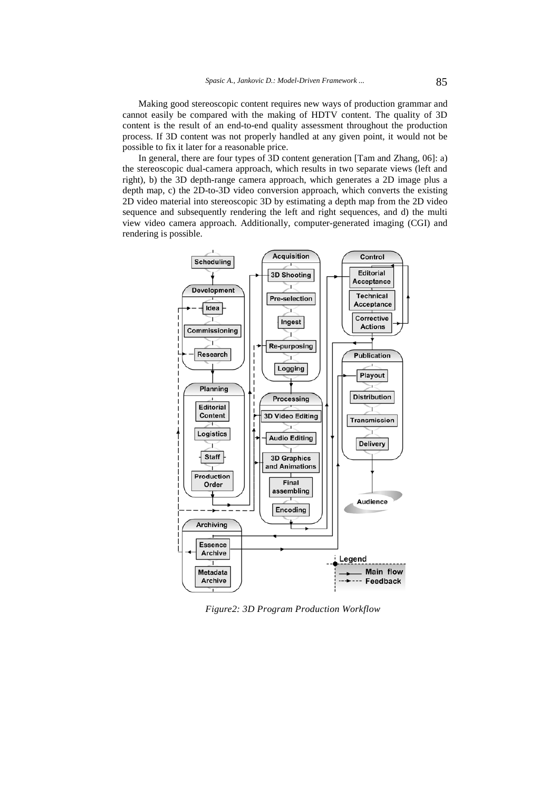Making good stereoscopic content requires new ways of production grammar and cannot easily be compared with the making of HDTV content. The quality of 3D content is the result of an end-to-end quality assessment throughout the production process. If 3D content was not properly handled at any given point, it would not be possible to fix it later for a reasonable price.

In general, there are four types of 3D content generation [Tam and Zhang, 06]: a) the stereoscopic dual-camera approach, which results in two separate views (left and right), b) the 3D depth-range camera approach, which generates a 2D image plus a depth map, c) the 2D-to-3D video conversion approach, which converts the existing 2D video material into stereoscopic 3D by estimating a depth map from the 2D video sequence and subsequently rendering the left and right sequences, and d) the multi view video camera approach. Additionally, computer-generated imaging (CGI) and rendering is possible.



*Figure2: 3D Program Production Workflow*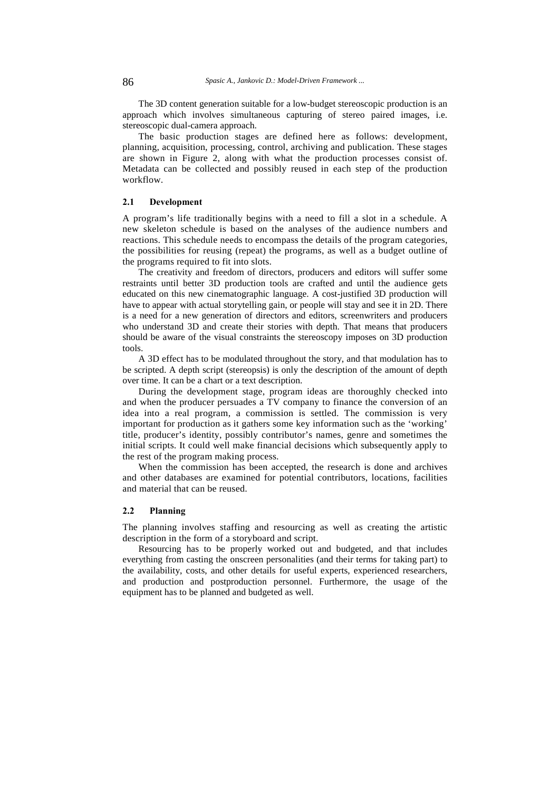The 3D content generation suitable for a low-budget stereoscopic production is an approach which involves simultaneous capturing of stereo paired images, i.e. stereoscopic dual-camera approach.

The basic production stages are defined here as follows: development, planning, acquisition, processing, control, archiving and publication. These stages are shown in Figure 2, along with what the production processes consist of. Metadata can be collected and possibly reused in each step of the production workflow.

#### **2.1 Development**

A program's life traditionally begins with a need to fill a slot in a schedule. A new skeleton schedule is based on the analyses of the audience numbers and reactions. This schedule needs to encompass the details of the program categories, the possibilities for reusing (repeat) the programs, as well as a budget outline of the programs required to fit into slots.

The creativity and freedom of directors, producers and editors will suffer some restraints until better 3D production tools are crafted and until the audience gets educated on this new cinematographic language. A cost-justified 3D production will have to appear with actual storytelling gain, or people will stay and see it in 2D. There is a need for a new generation of directors and editors, screenwriters and producers who understand 3D and create their stories with depth. That means that producers should be aware of the visual constraints the stereoscopy imposes on 3D production tools.

A 3D effect has to be modulated throughout the story, and that modulation has to be scripted. A depth script (stereopsis) is only the description of the amount of depth over time. It can be a chart or a text description.

During the development stage, program ideas are thoroughly checked into and when the producer persuades a TV company to finance the conversion of an idea into a real program, a commission is settled. The commission is very important for production as it gathers some key information such as the 'working' title, producer's identity, possibly contributor's names, genre and sometimes the initial scripts. It could well make financial decisions which subsequently apply to the rest of the program making process.

When the commission has been accepted, the research is done and archives and other databases are examined for potential contributors, locations, facilities and material that can be reused.

### **2.2 Planning**

The planning involves staffing and resourcing as well as creating the artistic description in the form of a storyboard and script.

Resourcing has to be properly worked out and budgeted, and that includes everything from casting the onscreen personalities (and their terms for taking part) to the availability, costs, and other details for useful experts, experienced researchers, and production and postproduction personnel. Furthermore, the usage of the equipment has to be planned and budgeted as well.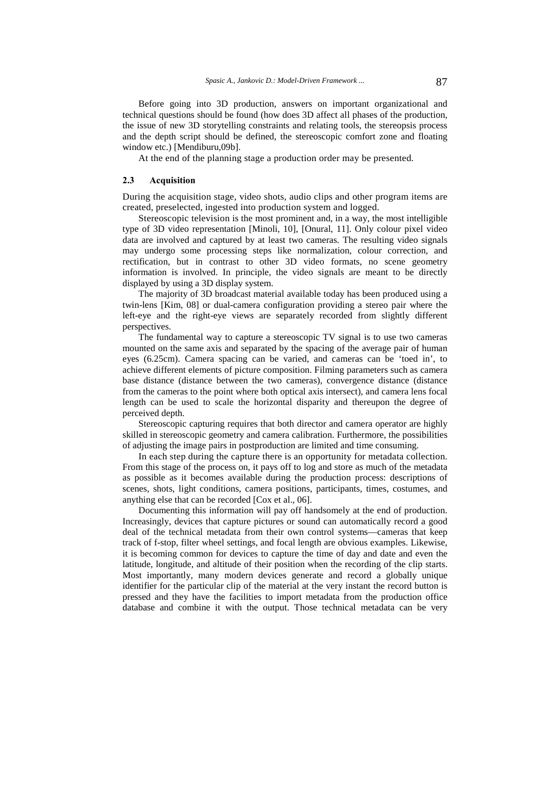Before going into 3D production, answers on important organizational and technical questions should be found (how does 3D affect all phases of the production, the issue of new 3D storytelling constraints and relating tools, the stereopsis process and the depth script should be defined, the stereoscopic comfort zone and floating window etc.) [Mendiburu,09b].

At the end of the planning stage a production order may be presented.

# **2.3 Acquisition**

During the acquisition stage, video shots, audio clips and other program items are created, preselected, ingested into production system and logged.

Stereoscopic television is the most prominent and, in a way, the most intelligible type of 3D video representation [Minoli, 10], [Onural, 11]. Only colour pixel video data are involved and captured by at least two cameras. The resulting video signals may undergo some processing steps like normalization, colour correction, and rectification, but in contrast to other 3D video formats, no scene geometry information is involved. In principle, the video signals are meant to be directly displayed by using a 3D display system.

The majority of 3D broadcast material available today has been produced using a twin-lens [Kim, 08] or dual-camera configuration providing a stereo pair where the left-eye and the right-eye views are separately recorded from slightly different perspectives.

The fundamental way to capture a stereoscopic TV signal is to use two cameras mounted on the same axis and separated by the spacing of the average pair of human eyes (6.25cm). Camera spacing can be varied, and cameras can be 'toed in', to achieve different elements of picture composition. Filming parameters such as camera base distance (distance between the two cameras), convergence distance (distance from the cameras to the point where both optical axis intersect), and camera lens focal length can be used to scale the horizontal disparity and thereupon the degree of perceived depth.

Stereoscopic capturing requires that both director and camera operator are highly skilled in stereoscopic geometry and camera calibration. Furthermore, the possibilities of adjusting the image pairs in postproduction are limited and time consuming.

In each step during the capture there is an opportunity for metadata collection. From this stage of the process on, it pays off to log and store as much of the metadata as possible as it becomes available during the production process: descriptions of scenes, shots, light conditions, camera positions, participants, times, costumes, and anything else that can be recorded [Cox et al., 06].

Documenting this information will pay off handsomely at the end of production. Increasingly, devices that capture pictures or sound can automatically record a good deal of the technical metadata from their own control systems—cameras that keep track of f-stop, filter wheel settings, and focal length are obvious examples. Likewise, it is becoming common for devices to capture the time of day and date and even the latitude, longitude, and altitude of their position when the recording of the clip starts. Most importantly, many modern devices generate and record a globally unique identifier for the particular clip of the material at the very instant the record button is pressed and they have the facilities to import metadata from the production office database and combine it with the output. Those technical metadata can be very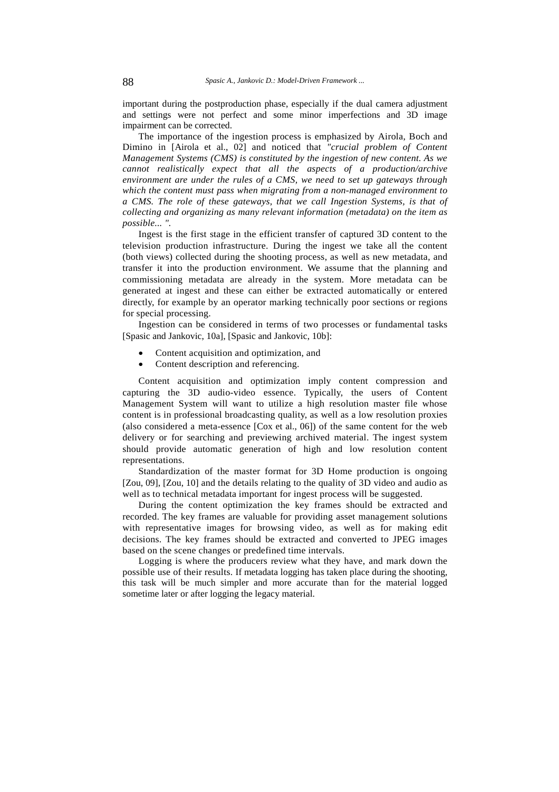important during the postproduction phase, especially if the dual camera adjustment and settings were not perfect and some minor imperfections and 3D image impairment can be corrected.

The importance of the ingestion process is emphasized by Airola, Boch and Dimino in [Airola et al., 02] and noticed that *"crucial problem of Content Management Systems (CMS) is constituted by the ingestion of new content. As we cannot realistically expect that all the aspects of a production/archive environment are under the rules of a CMS, we need to set up gateways through which the content must pass when migrating from a non-managed environment to a CMS. The role of these gateways, that we call Ingestion Systems, is that of collecting and organizing as many relevant information (metadata) on the item as possible... ".*

Ingest is the first stage in the efficient transfer of captured 3D content to the television production infrastructure. During the ingest we take all the content (both views) collected during the shooting process, as well as new metadata, and transfer it into the production environment. We assume that the planning and commissioning metadata are already in the system. More metadata can be generated at ingest and these can either be extracted automatically or entered directly, for example by an operator marking technically poor sections or regions for special processing.

Ingestion can be considered in terms of two processes or fundamental tasks [Spasic and Jankovic, 10a], [Spasic and Jankovic, 10b]:

- Content acquisition and optimization, and
- Content description and referencing.

Content acquisition and optimization imply content compression and capturing the 3D audio-video essence. Typically, the users of Content Management System will want to utilize a high resolution master file whose content is in professional broadcasting quality, as well as a low resolution proxies (also considered a meta-essence [Cox et al., 06]) of the same content for the web delivery or for searching and previewing archived material. The ingest system should provide automatic generation of high and low resolution content representations.

Standardization of the master format for 3D Home production is ongoing [Zou, 09], [Zou, 10] and the details relating to the quality of 3D video and audio as well as to technical metadata important for ingest process will be suggested.

During the content optimization the key frames should be extracted and recorded. The key frames are valuable for providing asset management solutions with representative images for browsing video, as well as for making edit decisions. The key frames should be extracted and converted to JPEG images based on the scene changes or predefined time intervals.

Logging is where the producers review what they have, and mark down the possible use of their results. If metadata logging has taken place during the shooting, this task will be much simpler and more accurate than for the material logged sometime later or after logging the legacy material.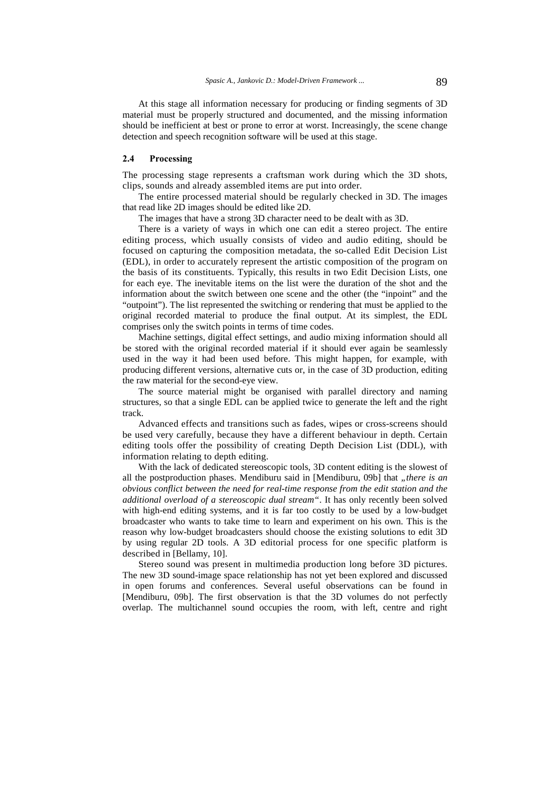At this stage all information necessary for producing or finding segments of 3D material must be properly structured and documented, and the missing information should be inefficient at best or prone to error at worst. Increasingly, the scene change detection and speech recognition software will be used at this stage.

### **2.4 Processing**

The processing stage represents a craftsman work during which the 3D shots, clips, sounds and already assembled items are put into order.

The entire processed material should be regularly checked in 3D. The images that read like 2D images should be edited like 2D.

The images that have a strong 3D character need to be dealt with as 3D.

There is a variety of ways in which one can edit a stereo project. The entire editing process, which usually consists of video and audio editing, should be focused on capturing the composition metadata, the so-called Edit Decision List (EDL), in order to accurately represent the artistic composition of the program on the basis of its constituents. Typically, this results in two Edit Decision Lists, one for each eye. The inevitable items on the list were the duration of the shot and the information about the switch between one scene and the other (the "inpoint" and the "outpoint"). The list represented the switching or rendering that must be applied to the original recorded material to produce the final output. At its simplest, the EDL comprises only the switch points in terms of time codes.

Machine settings, digital effect settings, and audio mixing information should all be stored with the original recorded material if it should ever again be seamlessly used in the way it had been used before. This might happen, for example, with producing different versions, alternative cuts or, in the case of 3D production, editing the raw material for the second-eye view.

The source material might be organised with parallel directory and naming structures, so that a single EDL can be applied twice to generate the left and the right track.

Advanced effects and transitions such as fades, wipes or cross-screens should be used very carefully, because they have a different behaviour in depth. Certain editing tools offer the possibility of creating Depth Decision List (DDL), with information relating to depth editing.

With the lack of dedicated stereoscopic tools, 3D content editing is the slowest of all the postproduction phases. Mendiburu said in [Mendiburu, 09b] that "there is an *obvious conflict between the need for real-time response from the edit station and the additional overload of a stereoscopic dual stream"*. It has only recently been solved with high-end editing systems, and it is far too costly to be used by a low-budget broadcaster who wants to take time to learn and experiment on his own. This is the reason why low-budget broadcasters should choose the existing solutions to edit 3D by using regular 2D tools. A 3D editorial process for one specific platform is described in [Bellamy, 10].

Stereo sound was present in multimedia production long before 3D pictures. The new 3D sound-image space relationship has not yet been explored and discussed in open forums and conferences. Several useful observations can be found in [Mendiburu, 09b]. The first observation is that the 3D volumes do not perfectly overlap. The multichannel sound occupies the room, with left, centre and right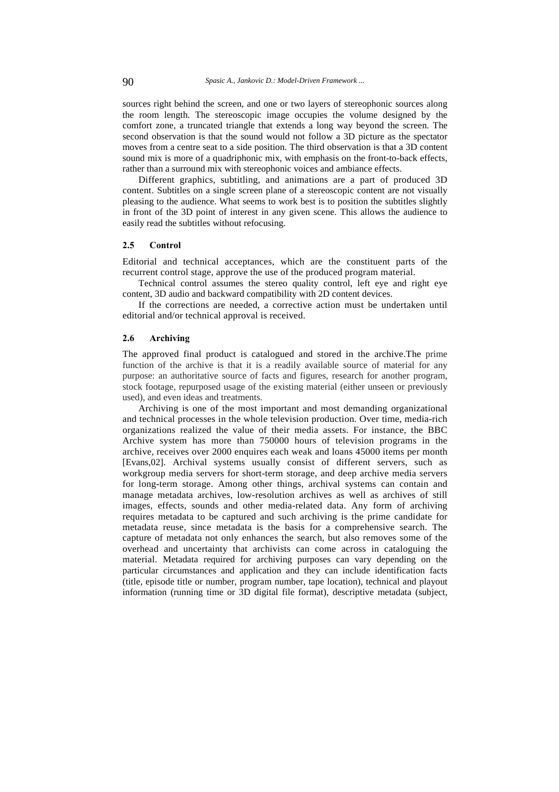sources right behind the screen, and one or two layers of stereophonic sources along the room length. The stereoscopic image occupies the volume designed by the comfort zone, a truncated triangle that extends a long way beyond the screen. The second observation is that the sound would not follow a 3D picture as the spectator moves from a centre seat to a side position. The third observation is that a 3D content sound mix is more of a quadriphonic mix, with emphasis on the front-to-back effects, rather than a surround mix with stereophonic voices and ambiance effects.

Different graphics, subtitling, and animations are a part of produced 3D content. Subtitles on a single screen plane of a stereoscopic content are not visually pleasing to the audience. What seems to work best is to position the subtitles slightly in front of the 3D point of interest in any given scene. This allows the audience to easily read the subtitles without refocusing.

#### **2.5 Control**

Editorial and technical acceptances, which are the constituent parts of the recurrent control stage, approve the use of the produced program material.

Technical control assumes the stereo quality control, left eye and right eye content, 3D audio and backward compatibility with 2D content devices.

If the corrections are needed, a corrective action must be undertaken until editorial and/or technical approval is received.

#### **2.6 Archiving**

The approved final product is catalogued and stored in the archive.The prime function of the archive is that it is a readily available source of material for any purpose: an authoritative source of facts and figures, research for another program, stock footage, repurposed usage of the existing material (either unseen or previously used), and even ideas and treatments.

Archiving is one of the most important and most demanding organizational and technical processes in the whole television production. Over time, media-rich organizations realized the value of their media assets. For instance, the BBC Archive system has more than 750000 hours of television programs in the archive, receives over 2000 enquires each weak and loans 45000 items per month [Evans,02]. Archival systems usually consist of different servers, such as workgroup media servers for short-term storage, and deep archive media servers for long-term storage. Among other things, archival systems can contain and manage metadata archives, low-resolution archives as well as archives of still images, effects, sounds and other media-related data. Any form of archiving requires metadata to be captured and such archiving is the prime candidate for metadata reuse, since metadata is the basis for a comprehensive search. The capture of metadata not only enhances the search, but also removes some of the overhead and uncertainty that archivists can come across in cataloguing the material. Metadata required for archiving purposes can vary depending on the particular circumstances and application and they can include identification facts (title, episode title or number, program number, tape location), technical and playout information (running time or 3D digital file format), descriptive metadata (subject,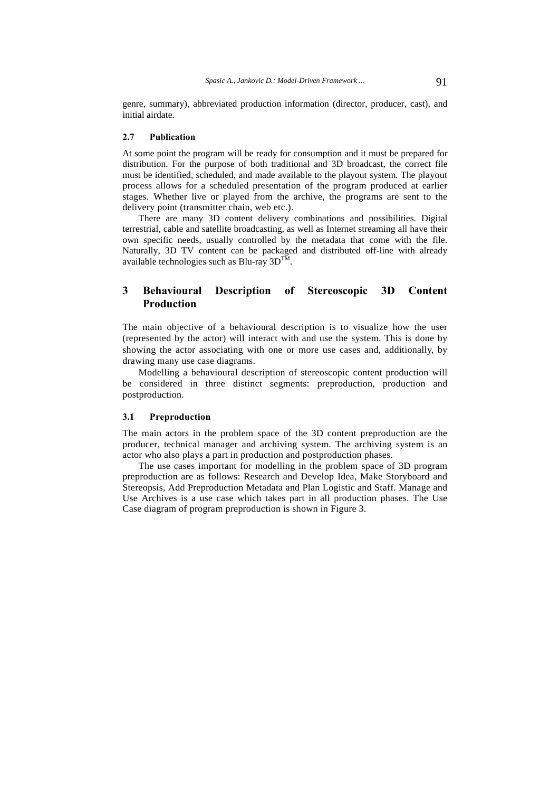genre, summary), abbreviated production information (director, producer, cast), and initial airdate.

#### **2.7 Publication**

At some point the program will be ready for consumption and it must be prepared for distribution. For the purpose of both traditional and 3D broadcast, the correct file must be identified, scheduled, and made available to the playout system. The playout process allows for a scheduled presentation of the program produced at earlier stages. Whether live or played from the archive, the programs are sent to the delivery point (transmitter chain, web etc.).

There are many 3D content delivery combinations and possibilities. Digital terrestrial, cable and satellite broadcasting, as well as Internet streaming all have their own specific needs, usually controlled by the metadata that come with the file. Naturally, 3D TV content can be packaged and distributed off-line with already available technologies such as Blu-ray  $3D^{TM}$ .

# **3 Behavioural Description of Stereoscopic 3D Content Production**

The main objective of a behavioural description is to visualize how the user (represented by the actor) will interact with and use the system. This is done by showing the actor associating with one or more use cases and, additionally, by drawing many use case diagrams.

Modelling a behavioural description of stereoscopic content production will be considered in three distinct segments: preproduction, production and postproduction.

### **3.1 Preproduction**

The main actors in the problem space of the 3D content preproduction are the producer, technical manager and archiving system. The archiving system is an actor who also plays a part in production and postproduction phases.

The use cases important for modelling in the problem space of 3D program preproduction are as follows: Research and Develop Idea, Make Storyboard and Stereopsis, Add Preproduction Metadata and Plan Logistic and Staff. Manage and Use Archives is a use case which takes part in all production phases. The Use Case diagram of program preproduction is shown in Figure 3.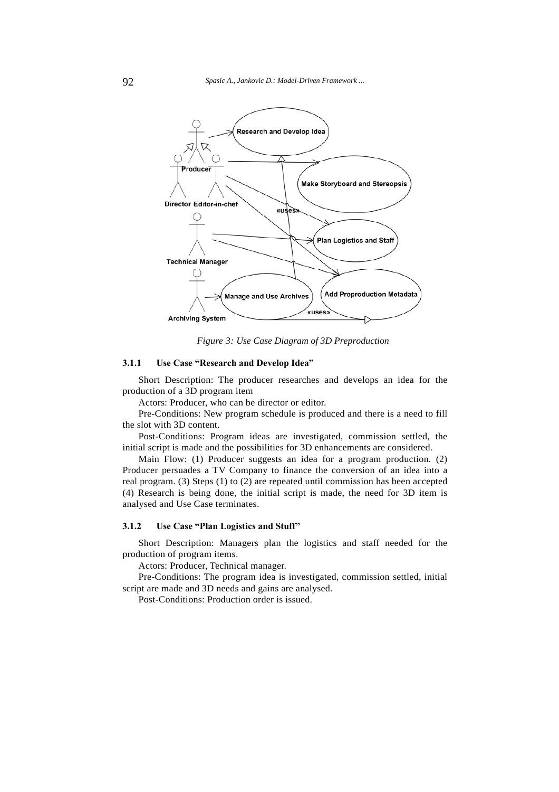

*Figure 3: Use Case Diagram of 3D Preproduction* 

### **3.1.1 Use Case "Research and Develop Idea"**

Short Description: The producer researches and develops an idea for the production of a 3D program item

Actors: Producer, who can be director or editor.

Pre-Conditions: New program schedule is produced and there is a need to fill the slot with 3D content.

Post-Conditions: Program ideas are investigated, commission settled, the initial script is made and the possibilities for 3D enhancements are considered.

Main Flow: (1) Producer suggests an idea for a program production. (2) Producer persuades a TV Company to finance the conversion of an idea into a real program. (3) Steps (1) to (2) are repeated until commission has been accepted (4) Research is being done, the initial script is made, the need for 3D item is analysed and Use Case terminates.

### **3.1.2 Use Case "Plan Logistics and Stuff"**

Short Description: Managers plan the logistics and staff needed for the production of program items.

Actors: Producer, Technical manager.

Pre-Conditions: The program idea is investigated, commission settled, initial script are made and 3D needs and gains are analysed.

Post-Conditions: Production order is issued.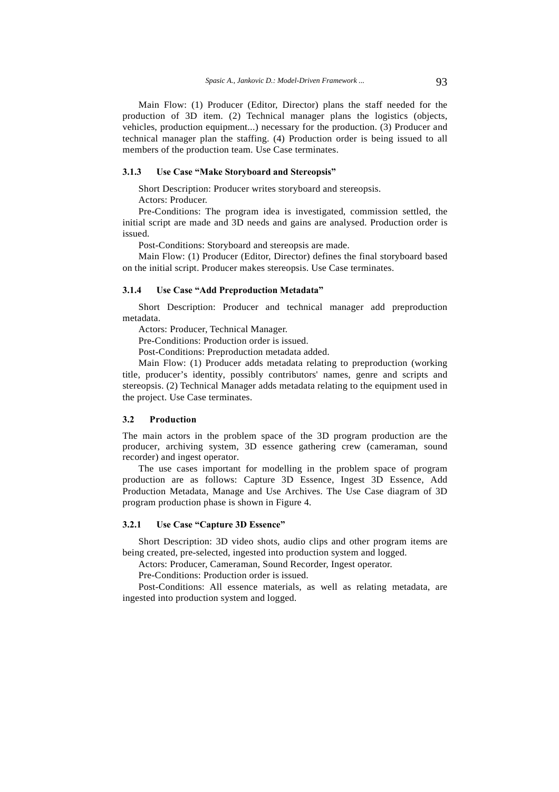Main Flow: (1) Producer (Editor, Director) plans the staff needed for the production of 3D item. (2) Technical manager plans the logistics (objects, vehicles, production equipment...) necessary for the production. (3) Producer and technical manager plan the staffing. (4) Production order is being issued to all members of the production team. Use Case terminates.

# **3.1.3 Use Case "Make Storyboard and Stereopsis"**

Short Description: Producer writes storyboard and stereopsis.

Actors: Producer.

Pre-Conditions: The program idea is investigated, commission settled, the initial script are made and 3D needs and gains are analysed. Production order is issued.

Post-Conditions: Storyboard and stereopsis are made.

Main Flow: (1) Producer (Editor, Director) defines the final storyboard based on the initial script. Producer makes stereopsis. Use Case terminates.

#### **3.1.4 Use Case "Add Preproduction Metadata"**

Short Description: Producer and technical manager add preproduction metadata.

Actors: Producer, Technical Manager.

Pre-Conditions: Production order is issued.

Post-Conditions: Preproduction metadata added.

Main Flow: (1) Producer adds metadata relating to preproduction (working title, producer's identity, possibly contributors' names, genre and scripts and stereopsis. (2) Technical Manager adds metadata relating to the equipment used in the project. Use Case terminates.

### **3.2 Production**

The main actors in the problem space of the 3D program production are the producer, archiving system, 3D essence gathering crew (cameraman, sound recorder) and ingest operator.

The use cases important for modelling in the problem space of program production are as follows: Capture 3D Essence, Ingest 3D Essence, Add Production Metadata, Manage and Use Archives. The Use Case diagram of 3D program production phase is shown in Figure 4.

### **3.2.1 Use Case "Capture 3D Essence"**

Short Description: 3D video shots, audio clips and other program items are being created, pre-selected, ingested into production system and logged.

Actors: Producer, Cameraman, Sound Recorder, Ingest operator.

Pre-Conditions: Production order is issued.

Post-Conditions: All essence materials, as well as relating metadata, are ingested into production system and logged.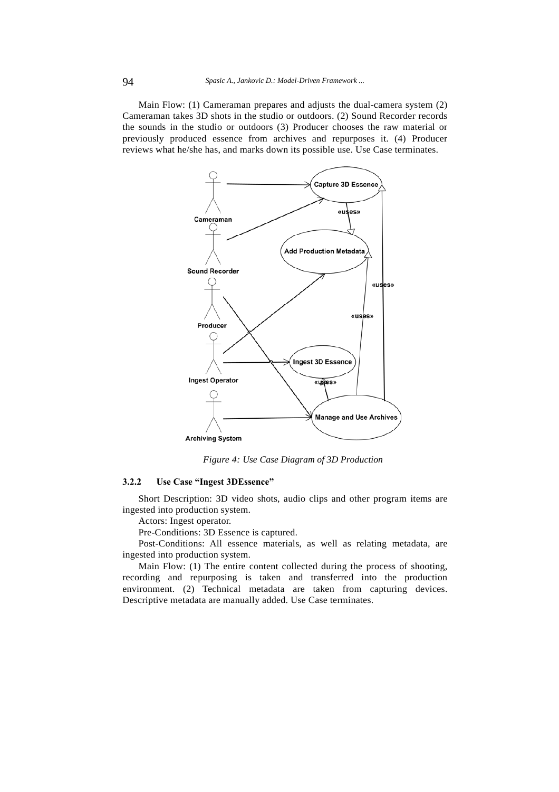Main Flow: (1) Cameraman prepares and adjusts the dual-camera system (2) Cameraman takes 3D shots in the studio or outdoors. (2) Sound Recorder records the sounds in the studio or outdoors (3) Producer chooses the raw material or previously produced essence from archives and repurposes it. (4) Producer reviews what he/she has, and marks down its possible use. Use Case terminates.



*Figure 4: Use Case Diagram of 3D Production* 

# **3.2.2 Use Case "Ingest 3DEssence"**

Short Description: 3D video shots, audio clips and other program items are ingested into production system.

Actors: Ingest operator.

Pre-Conditions: 3D Essence is captured.

Post-Conditions: All essence materials, as well as relating metadata, are ingested into production system.

Main Flow: (1) The entire content collected during the process of shooting, recording and repurposing is taken and transferred into the production environment. (2) Technical metadata are taken from capturing devices. Descriptive metadata are manually added. Use Case terminates.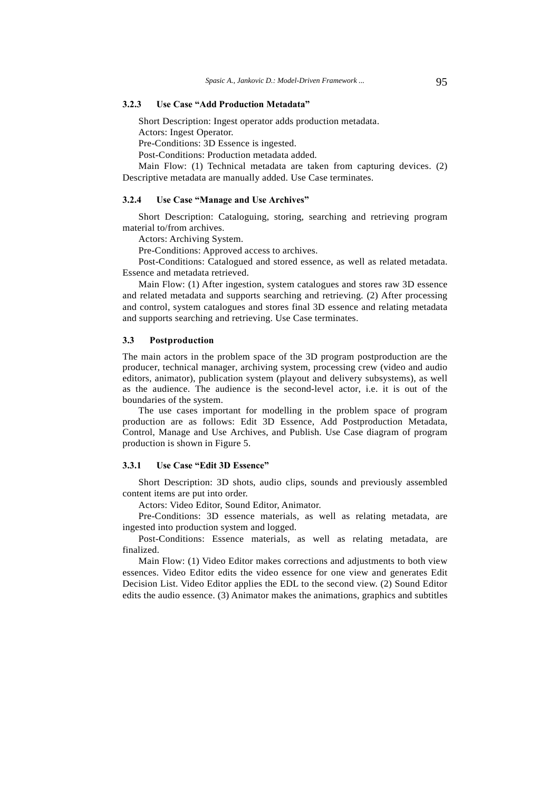# **3.2.3 Use Case "Add Production Metadata"**

Short Description: Ingest operator adds production metadata.

Actors: Ingest Operator.

Pre-Conditions: 3D Essence is ingested.

Post-Conditions: Production metadata added.

Main Flow: (1) Technical metadata are taken from capturing devices. (2) Descriptive metadata are manually added. Use Case terminates.

### **3.2.4 Use Case "Manage and Use Archives"**

Short Description: Cataloguing, storing, searching and retrieving program material to/from archives.

Actors: Archiving System.

Pre-Conditions: Approved access to archives.

Post-Conditions: Catalogued and stored essence, as well as related metadata. Essence and metadata retrieved.

Main Flow: (1) After ingestion, system catalogues and stores raw 3D essence and related metadata and supports searching and retrieving. (2) After processing and control, system catalogues and stores final 3D essence and relating metadata and supports searching and retrieving. Use Case terminates.

#### **3.3 Postproduction**

The main actors in the problem space of the 3D program postproduction are the producer, technical manager, archiving system, processing crew (video and audio editors, animator), publication system (playout and delivery subsystems), as well as the audience. The audience is the second-level actor, i.e. it is out of the boundaries of the system.

The use cases important for modelling in the problem space of program production are as follows: Edit 3D Essence, Add Postproduction Metadata, Control, Manage and Use Archives, and Publish. Use Case diagram of program production is shown in Figure 5.

#### **3.3.1 Use Case "Edit 3D Essence"**

Short Description: 3D shots, audio clips, sounds and previously assembled content items are put into order.

Actors: Video Editor, Sound Editor, Animator.

Pre-Conditions: 3D essence materials, as well as relating metadata, are ingested into production system and logged.

Post-Conditions: Essence materials, as well as relating metadata, are finalized.

Main Flow: (1) Video Editor makes corrections and adjustments to both view essences. Video Editor edits the video essence for one view and generates Edit Decision List. Video Editor applies the EDL to the second view. (2) Sound Editor edits the audio essence. (3) Animator makes the animations, graphics and subtitles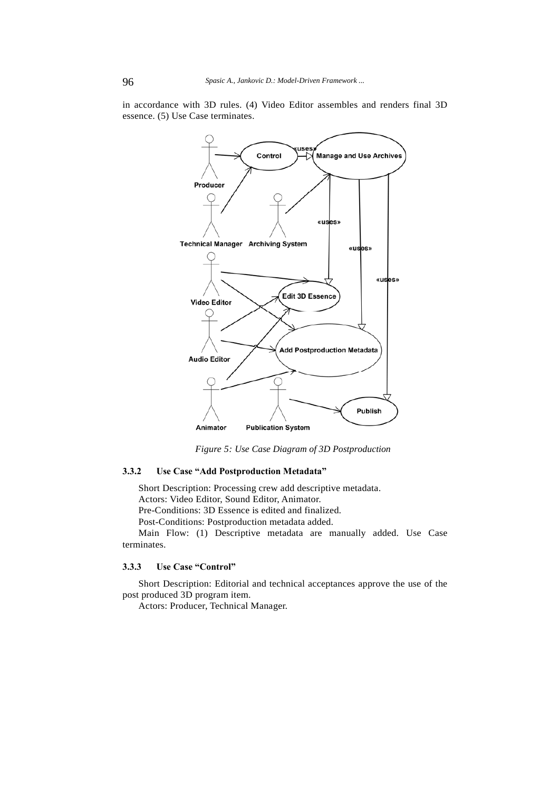in accordance with 3D rules. (4) Video Editor assembles and renders final 3D essence. (5) Use Case terminates.



*Figure 5: Use Case Diagram of 3D Postproduction* 

# **3.3.2 Use Case "Add Postproduction Metadata"**

Short Description: Processing crew add descriptive metadata.

Actors: Video Editor, Sound Editor, Animator.

Pre-Conditions: 3D Essence is edited and finalized.

Post-Conditions: Postproduction metadata added.

Main Flow: (1) Descriptive metadata are manually added. Use Case terminates.

### **3.3.3 Use Case "Control"**

Short Description: Editorial and technical acceptances approve the use of the post produced 3D program item.

Actors: Producer, Technical Manager.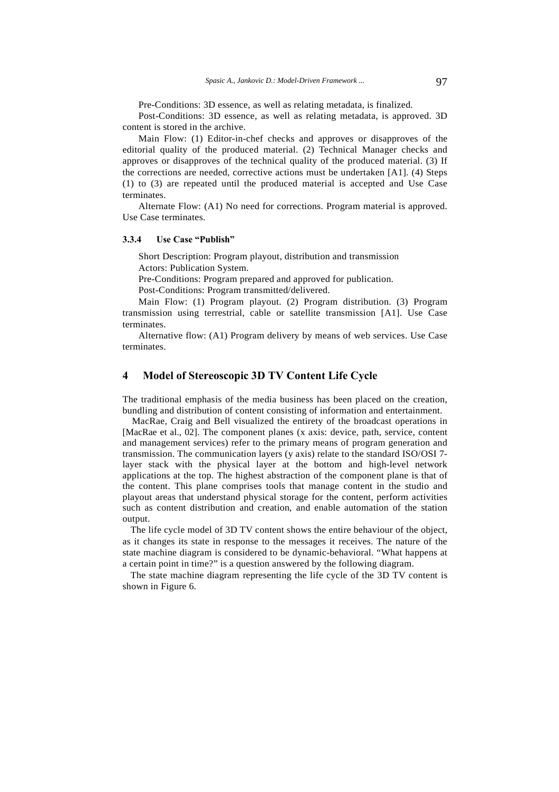Pre-Conditions: 3D essence, as well as relating metadata, is finalized.

Post-Conditions: 3D essence, as well as relating metadata, is approved. 3D content is stored in the archive.

Main Flow: (1) Editor-in-chef checks and approves or disapproves of the editorial quality of the produced material. (2) Technical Manager checks and approves or disapproves of the technical quality of the produced material. (3) If the corrections are needed, corrective actions must be undertaken [A1]. (4) Steps (1) to (3) are repeated until the produced material is accepted and Use Case terminates.

Alternate Flow: (A1) No need for corrections. Program material is approved. Use Case terminates.

#### **3.3.4 Use Case "Publish"**

Short Description: Program playout, distribution and transmission Actors: Publication System.

Pre-Conditions: Program prepared and approved for publication.

Post-Conditions: Program transmitted/delivered.

Main Flow: (1) Program playout. (2) Program distribution. (3) Program transmission using terrestrial, cable or satellite transmission [A1]. Use Case terminates.

Alternative flow: (A1) Program delivery by means of web services. Use Case terminates.

# **4 Model of Stereoscopic 3D TV Content Life Cycle**

The traditional emphasis of the media business has been placed on the creation, bundling and distribution of content consisting of information and entertainment.

MacRae, Craig and Bell visualized the entirety of the broadcast operations in [MacRae et al., 02]. The component planes (x axis: device, path, service, content and management services) refer to the primary means of program generation and transmission. The communication layers (y axis) relate to the standard ISO/OSI 7 layer stack with the physical layer at the bottom and high-level network applications at the top. The highest abstraction of the component plane is that of the content. This plane comprises tools that manage content in the studio and playout areas that understand physical storage for the content, perform activities such as content distribution and creation, and enable automation of the station output.

The life cycle model of 3D TV content shows the entire behaviour of the object, as it changes its state in response to the messages it receives. The nature of the state machine diagram is considered to be dynamic-behavioral. "What happens at a certain point in time?" is a question answered by the following diagram.

The state machine diagram representing the life cycle of the 3D TV content is shown in Figure 6.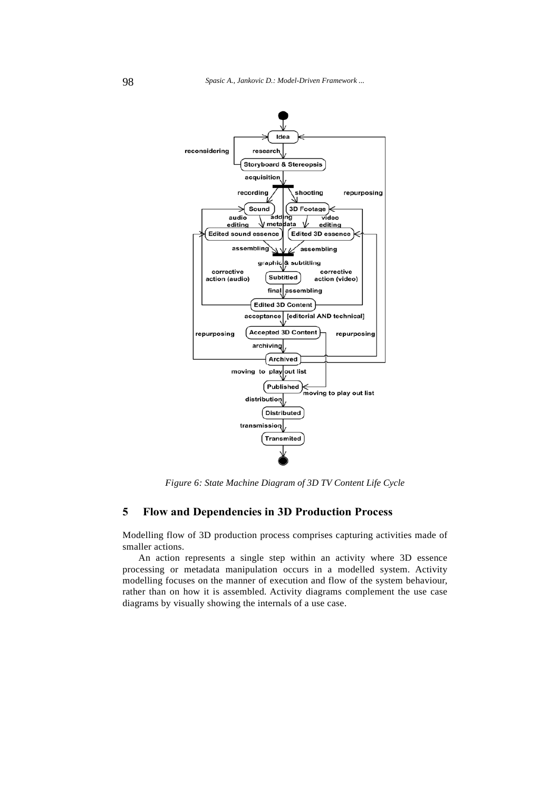

*Figure 6: State Machine Diagram of 3D TV Content Life Cycle* 

# **5 Flow and Dependencies in 3D Production Process**

Modelling flow of 3D production process comprises capturing activities made of smaller actions.

An action represents a single step within an activity where 3D essence processing or metadata manipulation occurs in a modelled system. Activity modelling focuses on the manner of execution and flow of the system behaviour, rather than on how it is assembled. Activity diagrams complement the use case diagrams by visually showing the internals of a use case.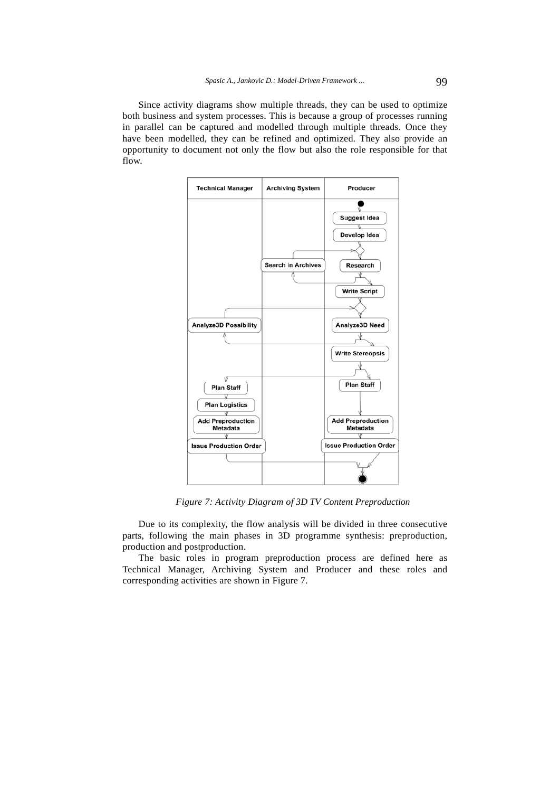Since activity diagrams show multiple threads, they can be used to optimize both business and system processes. This is because a group of processes running in parallel can be captured and modelled through multiple threads. Once they have been modelled, they can be refined and optimized. They also provide an opportunity to document not only the flow but also the role responsible for that flow.



*Figure 7: Activity Diagram of 3D TV Content Preproduction* 

Due to its complexity, the flow analysis will be divided in three consecutive parts, following the main phases in 3D programme synthesis: preproduction, production and postproduction.

The basic roles in program preproduction process are defined here as Technical Manager, Archiving System and Producer and these roles and corresponding activities are shown in Figure 7.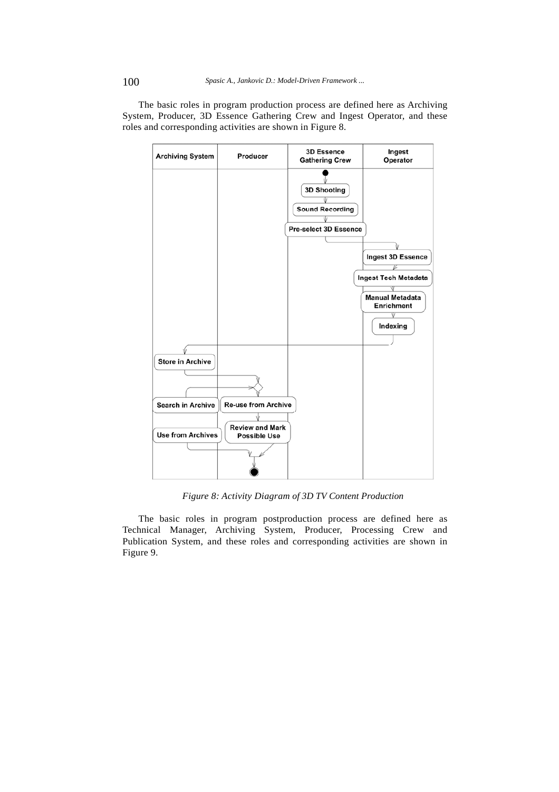

The basic roles in program production process are defined here as Archiving System, Producer, 3D Essence Gathering Crew and Ingest Operator, and these roles and corresponding activities are shown in Figure 8.

*Figure 8: Activity Diagram of 3D TV Content Production* 

The basic roles in program postproduction process are defined here as Technical Manager, Archiving System, Producer, Processing Crew and Publication System, and these roles and corresponding activities are shown in Figure 9.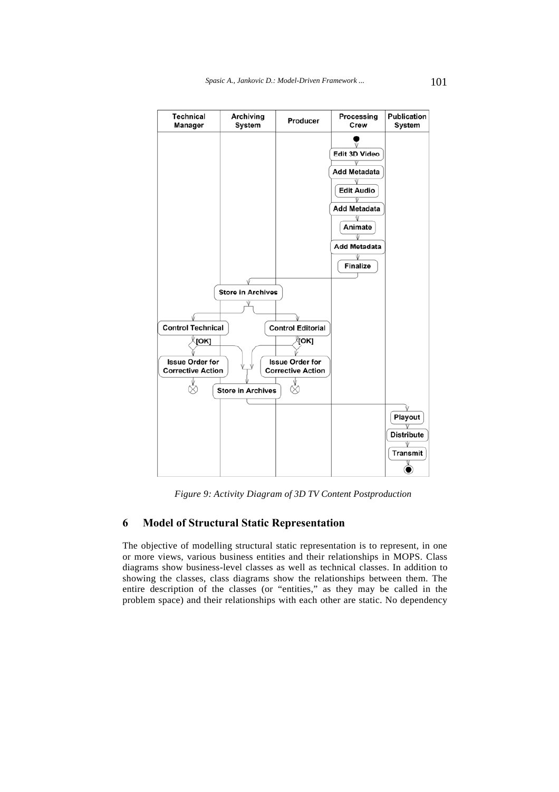

*Figure 9: Activity Diagram of 3D TV Content Postproduction* 

# **6 Model of Structural Static Representation**

The objective of modelling structural static representation is to represent, in one or more views, various business entities and their relationships in MOPS. Class diagrams show business-level classes as well as technical classes. In addition to showing the classes, class diagrams show the relationships between them. The entire description of the classes (or "entities," as they may be called in the problem space) and their relationships with each other are static. No dependency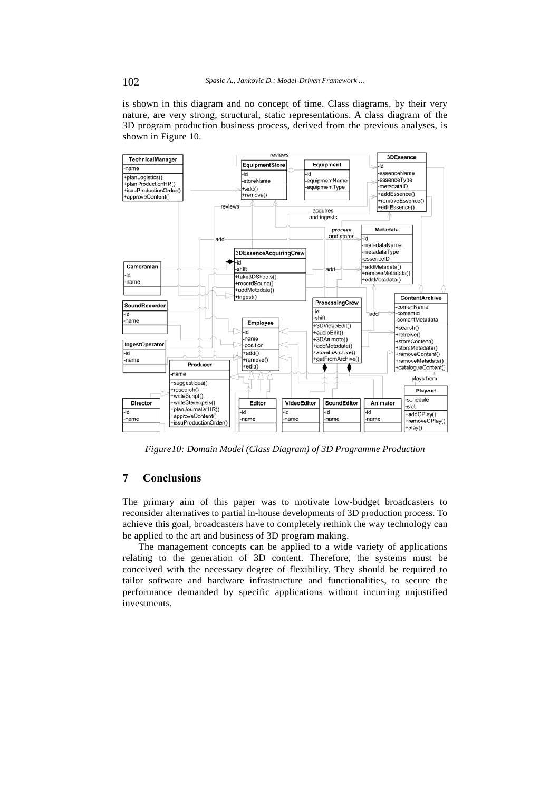is shown in this diagram and no concept of time. Class diagrams, by their very nature, are very strong, structural, static representations. A class diagram of the 3D program production business process, derived from the previous analyses, is shown in Figure 10.



*Figure10: Domain Model (Class Diagram) of 3D Programme Production* 

# **7 Conclusions**

The primary aim of this paper was to motivate low-budget broadcasters to reconsider alternatives to partial in-house developments of 3D production process. To achieve this goal, broadcasters have to completely rethink the way technology can be applied to the art and business of 3D program making.

The management concepts can be applied to a wide variety of applications relating to the generation of 3D content. Therefore, the systems must be conceived with the necessary degree of flexibility. They should be required to tailor software and hardware infrastructure and functionalities, to secure the performance demanded by specific applications without incurring unjustified investments.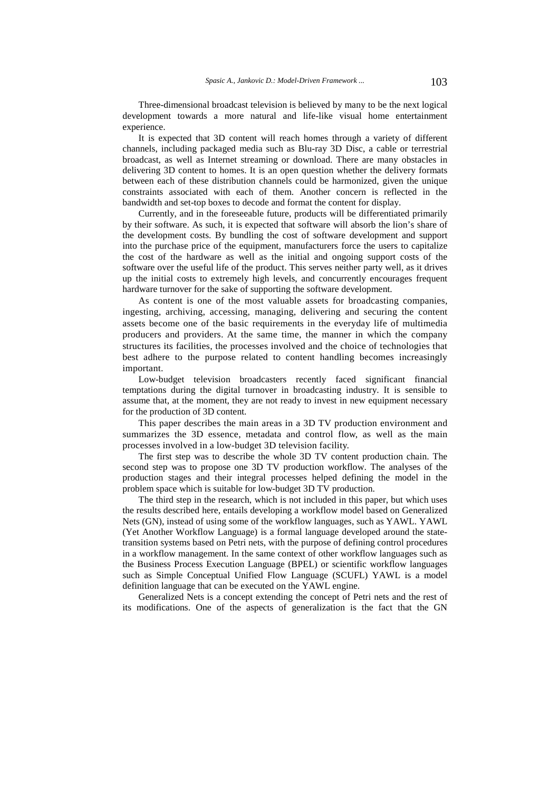Three-dimensional broadcast television is believed by many to be the next logical development towards a more natural and life-like visual home entertainment experience.

It is expected that 3D content will reach homes through a variety of different channels, including packaged media such as Blu-ray 3D Disc, a cable or terrestrial broadcast, as well as Internet streaming or download. There are many obstacles in delivering 3D content to homes. It is an open question whether the delivery formats between each of these distribution channels could be harmonized, given the unique constraints associated with each of them. Another concern is reflected in the bandwidth and set-top boxes to decode and format the content for display.

Currently, and in the foreseeable future, products will be differentiated primarily by their software. As such, it is expected that software will absorb the lion's share of the development costs. By bundling the cost of software development and support into the purchase price of the equipment, manufacturers force the users to capitalize the cost of the hardware as well as the initial and ongoing support costs of the software over the useful life of the product. This serves neither party well, as it drives up the initial costs to extremely high levels, and concurrently encourages frequent hardware turnover for the sake of supporting the software development.

As content is one of the most valuable assets for broadcasting companies, ingesting, archiving, accessing, managing, delivering and securing the content assets become one of the basic requirements in the everyday life of multimedia producers and providers. At the same time, the manner in which the company structures its facilities, the processes involved and the choice of technologies that best adhere to the purpose related to content handling becomes increasingly important.

Low-budget television broadcasters recently faced significant financial temptations during the digital turnover in broadcasting industry. It is sensible to assume that, at the moment, they are not ready to invest in new equipment necessary for the production of 3D content.

This paper describes the main areas in a 3D TV production environment and summarizes the 3D essence, metadata and control flow, as well as the main processes involved in a low-budget 3D television facility.

The first step was to describe the whole 3D TV content production chain. The second step was to propose one 3D TV production workflow. The analyses of the production stages and their integral processes helped defining the model in the problem space which is suitable for low-budget 3D TV production.

The third step in the research, which is not included in this paper, but which uses the results described here, entails developing a workflow model based on Generalized Nets (GN), instead of using some of the workflow languages, such as YAWL. YAWL (Yet Another Workflow Language) is a formal language developed around the statetransition systems based on Petri nets, with the purpose of defining control procedures in a workflow management. In the same context of other workflow languages such as the Business Process Execution Language (BPEL) or scientific workflow languages such as Simple Conceptual Unified Flow Language (SCUFL) YAWL is a model definition language that can be executed on the YAWL engine.

Generalized Nets is a concept extending the concept of Petri nets and the rest of its modifications. One of the aspects of generalization is the fact that the GN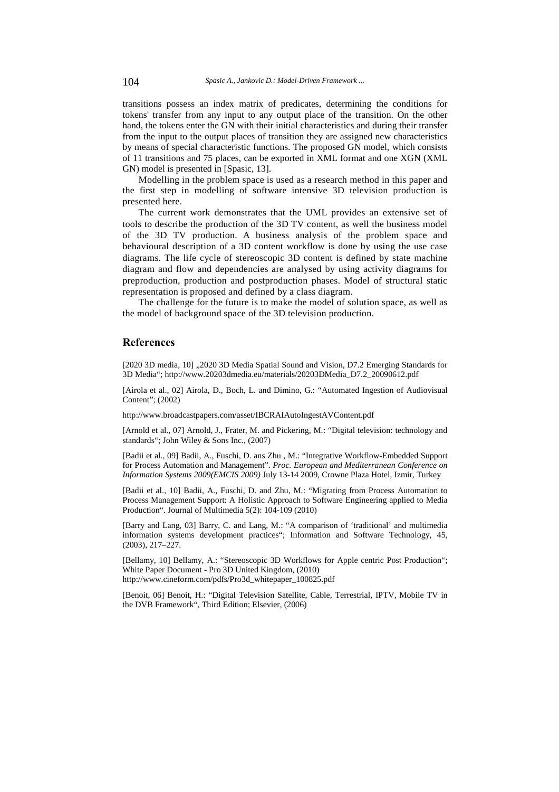transitions possess an index matrix of predicates, determining the conditions for tokens' transfer from any input to any output place of the transition. On the other hand, the tokens enter the GN with their initial characteristics and during their transfer from the input to the output places of transition they are assigned new characteristics by means of special characteristic functions. The proposed GN model, which consists of 11 transitions and 75 places, can be exported in XML format and one XGN (XML GN) model is presented in [Spasic, 13].

Modelling in the problem space is used as a research method in this paper and the first step in modelling of software intensive 3D television production is presented here.

The current work demonstrates that the UML provides an extensive set of tools to describe the production of the 3D TV content, as well the business model of the 3D TV production. A business analysis of the problem space and behavioural description of a 3D content workflow is done by using the use case diagrams. The life cycle of stereoscopic 3D content is defined by state machine diagram and flow and dependencies are analysed by using activity diagrams for preproduction, production and postproduction phases. Model of structural static representation is proposed and defined by a class diagram.

The challenge for the future is to make the model of solution space, as well as the model of background space of the 3D television production.

## **References**

[2020 3D media, 10] .,2020 3D Media Spatial Sound and Vision, D7.2 Emerging Standards for 3D Media"; http://www.20203dmedia.eu/materials/20203DMedia\_D7.2\_20090612.pdf

[Airola et al., 02] Airola, D., Boch, L. and Dimino, G.: "Automated Ingestion of Audiovisual Content"; (2002)

http://www.broadcastpapers.com/asset/IBCRAIAutoIngestAVContent.pdf

[Arnold et al., 07] Arnold, J., Frater, M. and Pickering, M.: "Digital television: technology and standards"; John Wiley & Sons Inc., (2007)

[Badii et al., 09] Badii, A., Fuschi, D. ans Zhu , M.: "Integrative Workflow-Embedded Support for Process Automation and Management". *Proc. European and Mediterranean Conference on Information Systems 2009(EMCIS 2009)* July 13-14 2009, Crowne Plaza Hotel, Izmir, Turkey

[Badii et al., 10] Badii, A., Fuschi, D. and Zhu, M.: "Migrating from Process Automation to Process Management Support: A Holistic Approach to Software Engineering applied to Media Production". Journal of Multimedia 5(2): 104-109 (2010)

[Barry and Lang, 03] Barry, C. and Lang, M.: "A comparison of 'traditional' and multimedia information systems development practices"; Information and Software Technology, 45, (2003), 217–227.

[Bellamy, 10] Bellamy, A.: "Stereoscopic 3D Workflows for Apple centric Post Production"; White Paper Document - Pro 3D United Kingdom, (2010) http://www.cineform.com/pdfs/Pro3d\_whitepaper\_100825.pdf

[Benoit, 06] Benoit, H.: "Digital Television Satellite, Cable, Terrestrial, IPTV, Mobile TV in the DVB Framework", Third Edition; Elsevier, (2006)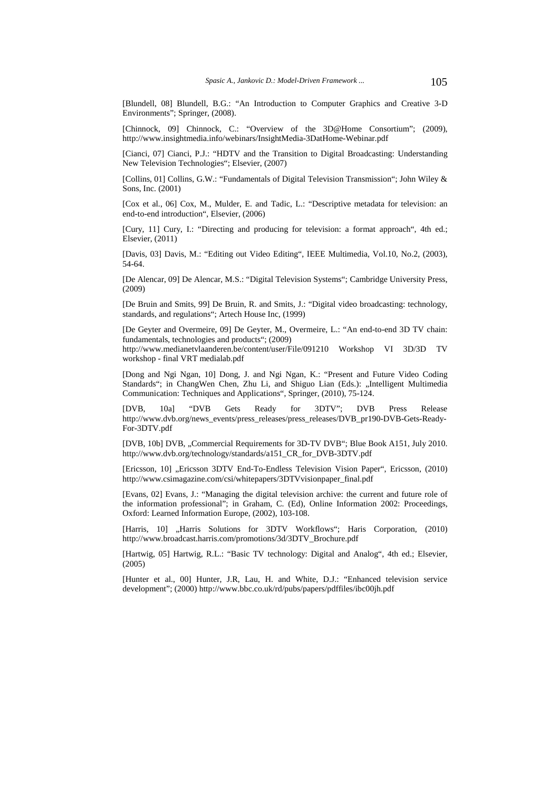[Blundell, 08] Blundell, B.G.: "An Introduction to Computer Graphics and Creative 3-D Environments"; Springer, (2008).

[Chinnock, 09] Chinnock, C.: "Overview of the 3D@Home Consortium"; (2009), http://www.insightmedia.info/webinars/InsightMedia-3DatHome-Webinar.pdf

[Cianci, 07] Cianci, P.J.: "HDTV and the Transition to Digital Broadcasting: Understanding New Television Technologies"; Elsevier, (2007)

[Collins, 01] Collins, G.W.: "Fundamentals of Digital Television Transmission"; John Wiley & Sons, Inc. (2001)

[Cox et al., 06] Cox, M., Mulder, E. and Tadic, L.: "Descriptive metadata for television: an end-to-end introduction", Elsevier, (2006)

[Cury, 11] Cury, I.: "Directing and producing for television: a format approach", 4th ed.; Elsevier, (2011)

[Davis, 03] Davis, M.: "Editing out Video Editing", IEEE Multimedia, Vol.10, No.2, (2003), 54-64.

[De Alencar, 09] De Alencar, M.S.: "Digital Television Systems"; Cambridge University Press, (2009)

[De Bruin and Smits, 99] De Bruin, R. and Smits, J.: "Digital video broadcasting: technology, standards, and regulations"; Artech House Inc, (1999)

[De Geyter and Overmeire, 09] De Geyter, M., Overmeire, L.: "An end-to-end 3D TV chain: fundamentals, technologies and products"; (2009)

http://www.medianetvlaanderen.be/content/user/File/091210 Workshop VI 3D/3D TV workshop - final VRT medialab.pdf

[Dong and Ngi Ngan, 10] Dong, J. and Ngi Ngan, K.: "Present and Future Video Coding Standards"; in ChangWen Chen, Zhu Li, and Shiguo Lian (Eds.): "Intelligent Multimedia Communication: Techniques and Applications", Springer, (2010), 75-124.

[DVB, 10a] "DVB Gets Ready for 3DTV"; DVB Press Release http://www.dvb.org/news\_events/press\_releases/press\_releases/DVB\_pr190-DVB-Gets-Ready-For-3DTV.pdf

[DVB, 10b] DVB, "Commercial Requirements for 3D-TV DVB"; Blue Book A151, July 2010. http://www.dvb.org/technology/standards/a151\_CR\_for\_DVB-3DTV.pdf

[Ericsson, 10] "Ericsson 3DTV End-To-Endless Television Vision Paper", Ericsson, (2010) http://www.csimagazine.com/csi/whitepapers/3DTVvisionpaper\_final.pdf

[Evans, 02] Evans, J.: "Managing the digital television archive: the current and future role of the information professional"; in Graham, C. (Ed), Online Information 2002: Proceedings, Oxford: Learned Information Europe, (2002), 103-108.

[Harris, 10] "Harris Solutions for 3DTV Workflows"; Haris Corporation, (2010) http://www.broadcast.harris.com/promotions/3d/3DTV\_Brochure.pdf

[Hartwig, 05] Hartwig, R.L.: "Basic TV technology: Digital and Analog", 4th ed.; Elsevier, (2005)

[Hunter et al., 00] Hunter, J.R, Lau, H. and White, D.J.: "Enhanced television service development"; (2000) http://www.bbc.co.uk/rd/pubs/papers/pdffiles/ibc00jh.pdf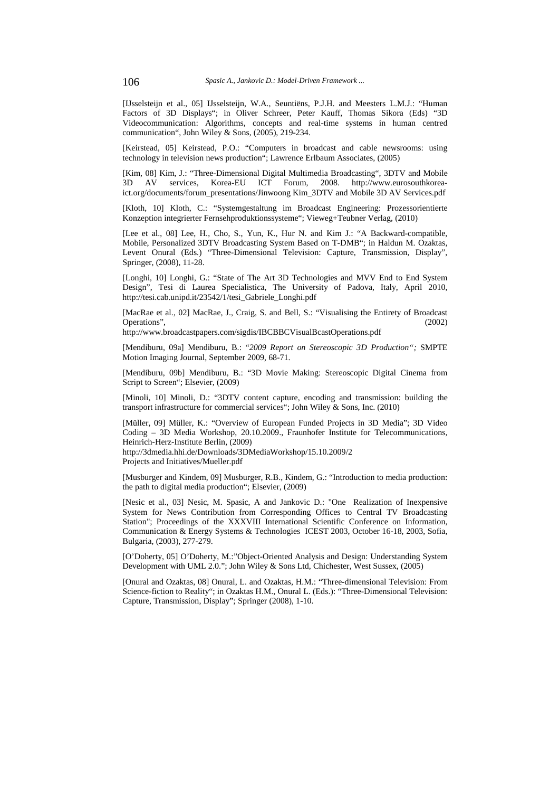[IJsselsteijn et al., 05] IJsselsteijn, W.A., Seuntiëns, P.J.H. and Meesters L.M.J.: "Human Factors of 3D Displays"; in Oliver Schreer, Peter Kauff, Thomas Sikora (Eds) "3D Videocommunication: Algorithms, concepts and real-time systems in human centred communication", John Wiley & Sons, (2005), 219-234.

[Keirstead, 05] Keirstead, P.O.: "Computers in broadcast and cable newsrooms: using technology in television news production"; Lawrence Erlbaum Associates, (2005)

[Kim, 08] Kim, J.: "Three-Dimensional Digital Multimedia Broadcasting", 3DTV and Mobile 3D AV services, Korea-EU ICT Forum, 2008. http://www.eurosouthkoreaict.org/documents/forum\_presentations/Jinwoong Kim\_3DTV and Mobile 3D AV Services.pdf

[Kloth, 10] Kloth, C.: "Systemgestaltung im Broadcast Engineering: Prozessorientierte Konzeption integrierter Fernsehproduktionssysteme"; Vieweg+Teubner Verlag, (2010)

[Lee et al., 08] Lee, H., Cho, S., Yun, K., Hur N. and Kim J.: "A Backward-compatible, Mobile, Personalized 3DTV Broadcasting System Based on T-DMB"; in Haldun M. Ozaktas, Levent Onural (Eds.) "Three-Dimensional Television: Capture, Transmission, Display", Springer, (2008), 11-28.

[Longhi, 10] Longhi, G.: "State of The Art 3D Technologies and MVV End to End System Design", Tesi di Laurea Specialistica, The University of Padova, Italy, April 2010, http://tesi.cab.unipd.it/23542/1/tesi\_Gabriele\_Longhi.pdf

[MacRae et al., 02] MacRae, J., Craig, S. and Bell, S.: "Visualising the Entirety of Broadcast Operations", (2002)

http://www.broadcastpapers.com/sigdis/IBCBBCVisualBcastOperations.pdf

[Mendiburu, 09a] Mendiburu, B.: "*2009 Report on Stereoscopic 3D Production";* SMPTE Motion Imaging Journal, September 2009, 68-71.

[Mendiburu, 09b] Mendiburu, B.: "3D Movie Making: Stereoscopic Digital Cinema from Script to Screen"; Elsevier, (2009)

[Minoli, 10] Minoli, D.: "3DTV content capture, encoding and transmission: building the transport infrastructure for commercial services"; John Wiley & Sons, Inc. (2010)

[Müller, 09] Müller, K.: "Overview of European Funded Projects in 3D Media"; 3D Video Coding – 3D Media Workshop, 20.10.2009., Fraunhofer Institute for Telecommunications, Heinrich-Herz-Institute Berlin, (2009)

http://3dmedia.hhi.de/Downloads/3DMediaWorkshop/15.10.2009/2 Projects and Initiatives/Mueller.pdf

[Musburger and Kindem, 09] Musburger, R.B., Kindem, G.: "Introduction to media production: the path to digital media production"; Elsevier, (2009)

[Nesic et al., 03] Nesic, M. Spasic, A and Jankovic D.: "One Realization of Inexpensive System for News Contribution from Corresponding Offices to Central TV Broadcasting Station"; Proceedings of the XXXVIII International Scientific Conference on Information, Communication & Energy Systems & Technologies ICEST 2003, October 16-18, 2003, Sofia, Bulgaria, (2003), 277-279.

[O'Doherty, 05] O'Doherty, M.:"Object-Oriented Analysis and Design: Understanding System Development with UML 2.0."; John Wiley & Sons Ltd, Chichester, West Sussex, (2005)

[Onural and Ozaktas, 08] Onural, L. and Ozaktas, H.M.: "Three-dimensional Television: From Science-fiction to Reality"; in Ozaktas H.M., Onural L. (Eds.): "Three-Dimensional Television: Capture, Transmission, Display"; Springer (2008), 1-10.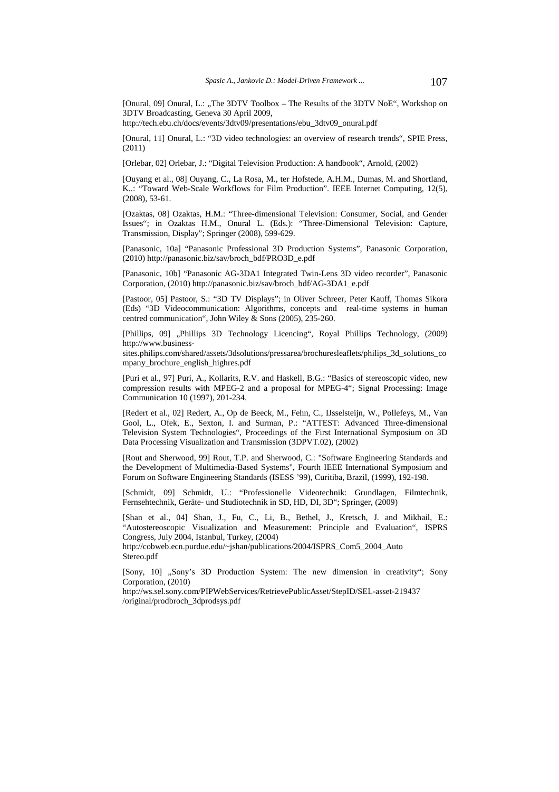[Onural, 09] Onural, L.: "The 3DTV Toolbox – The Results of the 3DTV NoE", Workshop on 3DTV Broadcasting, Geneva 30 April 2009,

http://tech.ebu.ch/docs/events/3dtv09/presentations/ebu\_3dtv09\_onural.pdf

[Onural, 11] Onural, L.: "3D video technologies: an overview of research trends", SPIE Press, (2011)

[Orlebar, 02] Orlebar, J.: "Digital Television Production: A handbook", Arnold, (2002)

[Ouyang et al., 08] Ouyang, C., La Rosa, M., ter Hofstede, A.H.M., Dumas, M. and Shortland, K..: "Toward Web-Scale Workflows for Film Production". IEEE Internet Computing, 12(5), (2008), 53-61.

[Ozaktas, 08] Ozaktas, H.M.: "Three-dimensional Television: Consumer, Social, and Gender Issues"; in Ozaktas H.M., Onural L. (Eds.): "Three-Dimensional Television: Capture, Transmission, Display"; Springer (2008), 599-629.

[Panasonic, 10a] "Panasonic Professional 3D Production Systems", Panasonic Corporation, (2010) http://panasonic.biz/sav/broch\_bdf/PRO3D\_e.pdf

[Panasonic, 10b] "Panasonic AG-3DA1 Integrated Twin-Lens 3D video recorder", Panasonic Corporation, (2010) http://panasonic.biz/sav/broch\_bdf/AG-3DA1\_e.pdf

[Pastoor, 05] Pastoor, S.: "3D TV Displays"; in Oliver Schreer, Peter Kauff, Thomas Sikora (Eds) "3D Videocommunication: Algorithms, concepts and real-time systems in human centred communication", John Wiley & Sons (2005), 235-260.

[Phillips, 09] "Phillips 3D Technology Licencing", Royal Phillips Technology, (2009) http://www.business-

sites.philips.com/shared/assets/3dsolutions/pressarea/brochuresleaflets/philips\_3d\_solutions\_co mpany\_brochure\_english\_highres.pdf

[Puri et al., 97] Puri, A., Kollarits, R.V. and Haskell, B.G.: "Basics of stereoscopic video, new compression results with MPEG-2 and a proposal for MPEG-4"; Signal Processing: Image Communication 10 (1997), 201-234.

[Redert et al., 02] Redert, A., Op de Beeck, M., Fehn, C., IJsselsteijn, W., Pollefeys, M., Van Gool, L., Ofek, E., Sexton, I. and Surman, P.: "ATTEST: Advanced Three-dimensional Television System Technologies", Proceedings of the First International Symposium on 3D Data Processing Visualization and Transmission (3DPVT.02), (2002)

[Rout and Sherwood, 99] Rout, T.P. and Sherwood, C.: "Software Engineering Standards and the Development of Multimedia-Based Systems", Fourth IEEE International Symposium and Forum on Software Engineering Standards (ISESS '99), Curitiba, Brazil, (1999), 192-198.

[Schmidt, 09] Schmidt, U.: "Professionelle Videotechnik: Grundlagen, Filmtechnik, Fernsehtechnik, Geräte- und Studiotechnik in SD, HD, DI, 3D"; Springer, (2009)

[Shan et al., 04] Shan, J., Fu, C., Li, B., Bethel, J., Kretsch, J. and Mikhail, E.: "Autostereoscopic Visualization and Measurement: Principle and Evaluation", ISPRS Congress, July 2004, Istanbul, Turkey, (2004)

http://cobweb.ecn.purdue.edu/~jshan/publications/2004/ISPRS\_Com5\_2004\_Auto Stereo.pdf

[Sony, 10] "Sony's 3D Production System: The new dimension in creativity"; Sony Corporation, (2010)

http://ws.sel.sony.com/PIPWebServices/RetrievePublicAsset/StepID/SEL-asset-219437 /original/prodbroch\_3dprodsys.pdf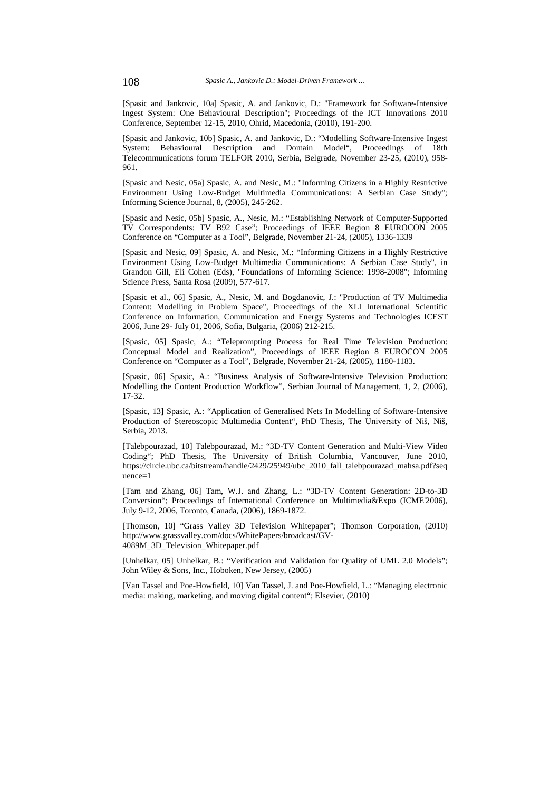[Spasic and Jankovic, 10a] Spasic, A. and Jankovic, D.: "Framework for Software-Intensive Ingest System: One Behavioural Description"; Proceedings of the ICT Innovations 2010 Conference, September 12-15, 2010, Ohrid, Macedonia, (2010), 191-200.

[Spasic and Jankovic, 10b] Spasic, A. and Jankovic, D.: "Modelling Software-Intensive Ingest System: Behavioural Description and Domain Model", Proceedings of 18th Telecommunications forum TELFOR 2010, Serbia, Belgrade, November 23-25, (2010), 958- 961.

[Spasic and Nesic, 05a] Spasic, A. and Nesic, M.: "Informing Citizens in a Highly Restrictive Environment Using Low-Budget Multimedia Communications: A Serbian Case Study"; Informing Science Journal, 8, (2005), 245-262.

[Spasic and Nesic, 05b] Spasic, A., Nesic, M.: "Establishing Network of Computer-Supported TV Correspondents: TV B92 Case"; Proceedings of IEEE Region 8 EUROCON 2005 Conference on "Computer as a Tool", Belgrade, November 21-24, (2005), 1336-1339

[Spasic and Nesic, 09] Spasic, A. and Nesic, M.: "Informing Citizens in a Highly Restrictive Environment Using Low-Budget Multimedia Communications: A Serbian Case Study", in Grandon Gill, Eli Cohen (Eds), "Foundations of Informing Science: 1998-2008"; Informing Science Press, Santa Rosa (2009), 577-617.

[Spasic et al., 06] Spasic, A., Nesic, M. and Bogdanovic, J.: "Production of TV Multimedia Content: Modelling in Problem Space", Proceedings of the XLI International Scientific Conference on Information, Communication and Energy Systems and Technologies ICEST 2006, June 29- July 01, 2006, Sofia, Bulgaria, (2006) 212-215.

[Spasic, 05] Spasic, A.: "Teleprompting Process for Real Time Television Production: Conceptual Model and Realization", Proceedings of IEEE Region 8 EUROCON 2005 Conference on "Computer as a Tool", Belgrade, November 21-24, (2005), 1180-1183.

[Spasic, 06] Spasic, A.: "Business Analysis of Software-Intensive Television Production: Modelling the Content Production Workflow"*,* Serbian Journal of Management, 1, 2, (2006), 17-32.

[Spasic, 13] Spasic, A.: "Application of Generalised Nets In Modelling of Software-Intensive Production of Stereoscopic Multimedia Content", PhD Thesis, The University of Niš, Niš, Serbia, 2013.

[Talebpourazad, 10] Talebpourazad, M.: "3D-TV Content Generation and Multi-View Video Coding"; PhD Thesis, The University of British Columbia, Vancouver, June 2010, https://circle.ubc.ca/bitstream/handle/2429/25949/ubc\_2010\_fall\_talebpourazad\_mahsa.pdf?seq uence=1

[Tam and Zhang, 06] Tam, W.J. and Zhang, L.: "3D-TV Content Generation: 2D-to-3D Conversion"; Proceedings of International Conference on Multimedia&Expo (ICME'2006), July 9-12, 2006, Toronto, Canada, (2006), 1869-1872.

[Thomson, 10] "Grass Valley 3D Television Whitepaper"; Thomson Corporation, (2010) http://www.grassvalley.com/docs/WhitePapers/broadcast/GV-4089M\_3D\_Television\_Whitepaper.pdf

[Unhelkar, 05] Unhelkar, B.: "Verification and Validation for Quality of UML 2.0 Models"; John Wiley & Sons, Inc., Hoboken, New Jersey, (2005)

[Van Tassel and Poe-Howfield, 10] Van Tassel, J. and Poe-Howfield, L.: "Managing electronic media: making, marketing, and moving digital content"; Elsevier, (2010)